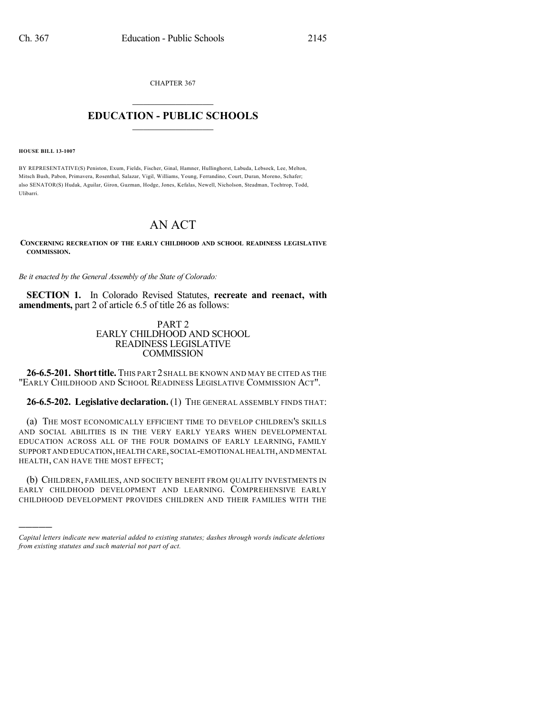CHAPTER 367

## $\mathcal{L}_\text{max}$  . The set of the set of the set of the set of the set of the set of the set of the set of the set of the set of the set of the set of the set of the set of the set of the set of the set of the set of the set **EDUCATION - PUBLIC SCHOOLS**  $\_$   $\_$   $\_$   $\_$   $\_$   $\_$   $\_$   $\_$   $\_$

**HOUSE BILL 13-1007**

)))))

BY REPRESENTATIVE(S) Peniston, Exum, Fields, Fischer, Ginal, Hamner, Hullinghorst, Labuda, Lebsock, Lee, Melton, Mitsch Bush, Pabon, Primavera, Rosenthal, Salazar, Vigil, Williams, Young, Ferrandino, Court, Duran, Moreno, Schafer; also SENATOR(S) Hudak, Aguilar, Giron, Guzman, Hodge, Jones, Kefalas, Newell, Nicholson, Steadman, Tochtrop, Todd, Ulibarri.

## AN ACT

**CONCERNING RECREATION OF THE EARLY CHILDHOOD AND SCHOOL READINESS LEGISLATIVE COMMISSION.**

*Be it enacted by the General Assembly of the State of Colorado:*

**SECTION 1.** In Colorado Revised Statutes, **recreate and reenact, with amendments,** part 2 of article 6.5 of title 26 as follows:

## PART 2 EARLY CHILDHOOD AND SCHOOL READINESS LEGISLATIVE **COMMISSION**

**26-6.5-201. Shorttitle.** THIS PART 2 SHALL BE KNOWN AND MAY BE CITED AS THE "EARLY CHILDHOOD AND SCHOOL READINESS LEGISLATIVE COMMISSION ACT".

**26-6.5-202. Legislative declaration.** (1) THE GENERAL ASSEMBLY FINDS THAT:

(a) THE MOST ECONOMICALLY EFFICIENT TIME TO DEVELOP CHILDREN'S SKILLS AND SOCIAL ABILITIES IS IN THE VERY EARLY YEARS WHEN DEVELOPMENTAL EDUCATION ACROSS ALL OF THE FOUR DOMAINS OF EARLY LEARNING, FAMILY SUPPORT AND EDUCATION,HEALTH CARE,SOCIAL-EMOTIONAL HEALTH,AND MENTAL HEALTH, CAN HAVE THE MOST EFFECT;

(b) CHILDREN, FAMILIES, AND SOCIETY BENEFIT FROM QUALITY INVESTMENTS IN EARLY CHILDHOOD DEVELOPMENT AND LEARNING. COMPREHENSIVE EARLY CHILDHOOD DEVELOPMENT PROVIDES CHILDREN AND THEIR FAMILIES WITH THE

*Capital letters indicate new material added to existing statutes; dashes through words indicate deletions from existing statutes and such material not part of act.*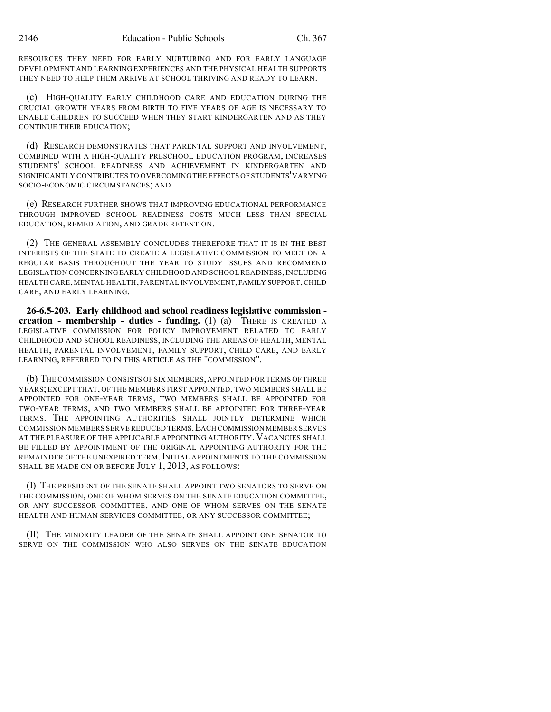RESOURCES THEY NEED FOR EARLY NURTURING AND FOR EARLY LANGUAGE DEVELOPMENT AND LEARNING EXPERIENCES AND THE PHYSICAL HEALTH SUPPORTS THEY NEED TO HELP THEM ARRIVE AT SCHOOL THRIVING AND READY TO LEARN.

(c) HIGH-QUALITY EARLY CHILDHOOD CARE AND EDUCATION DURING THE CRUCIAL GROWTH YEARS FROM BIRTH TO FIVE YEARS OF AGE IS NECESSARY TO ENABLE CHILDREN TO SUCCEED WHEN THEY START KINDERGARTEN AND AS THEY CONTINUE THEIR EDUCATION;

(d) RESEARCH DEMONSTRATES THAT PARENTAL SUPPORT AND INVOLVEMENT, COMBINED WITH A HIGH-QUALITY PRESCHOOL EDUCATION PROGRAM, INCREASES STUDENTS' SCHOOL READINESS AND ACHIEVEMENT IN KINDERGARTEN AND SIGNIFICANTLY CONTRIBUTES TO OVERCOMING THE EFFECTS OF STUDENTS'VARYING SOCIO-ECONOMIC CIRCUMSTANCES; AND

(e) RESEARCH FURTHER SHOWS THAT IMPROVING EDUCATIONAL PERFORMANCE THROUGH IMPROVED SCHOOL READINESS COSTS MUCH LESS THAN SPECIAL EDUCATION, REMEDIATION, AND GRADE RETENTION.

(2) THE GENERAL ASSEMBLY CONCLUDES THEREFORE THAT IT IS IN THE BEST INTERESTS OF THE STATE TO CREATE A LEGISLATIVE COMMISSION TO MEET ON A REGULAR BASIS THROUGHOUT THE YEAR TO STUDY ISSUES AND RECOMMEND LEGISLATION CONCERNING EARLY CHILDHOOD AND SCHOOL READINESS,INCLUDING HEALTH CARE,MENTAL HEALTH,PARENTAL INVOLVEMENT,FAMILY SUPPORT,CHILD CARE, AND EARLY LEARNING.

**26-6.5-203. Early childhood and school readiness legislative commission creation - membership - duties - funding.** (1) (a) THERE IS CREATED A LEGISLATIVE COMMISSION FOR POLICY IMPROVEMENT RELATED TO EARLY CHILDHOOD AND SCHOOL READINESS, INCLUDING THE AREAS OF HEALTH, MENTAL HEALTH, PARENTAL INVOLVEMENT, FAMILY SUPPORT, CHILD CARE, AND EARLY LEARNING, REFERRED TO IN THIS ARTICLE AS THE "COMMISSION".

(b) THE COMMISSION CONSISTS OF SIX MEMBERS,APPOINTED FOR TERMS OFTHREE YEARS; EXCEPT THAT, OF THE MEMBERS FIRST APPOINTED, TWO MEMBERS SHALL BE APPOINTED FOR ONE-YEAR TERMS, TWO MEMBERS SHALL BE APPOINTED FOR TWO-YEAR TERMS, AND TWO MEMBERS SHALL BE APPOINTED FOR THREE-YEAR TERMS. THE APPOINTING AUTHORITIES SHALL JOINTLY DETERMINE WHICH COMMISSION MEMBERS SERVE REDUCED TERMS.EACH COMMISSION MEMBER SERVES AT THE PLEASURE OF THE APPLICABLE APPOINTING AUTHORITY. VACANCIES SHALL BE FILLED BY APPOINTMENT OF THE ORIGINAL APPOINTING AUTHORITY FOR THE REMAINDER OF THE UNEXPIRED TERM.INITIAL APPOINTMENTS TO THE COMMISSION SHALL BE MADE ON OR BEFORE JULY 1, 2013, AS FOLLOWS:

(I) THE PRESIDENT OF THE SENATE SHALL APPOINT TWO SENATORS TO SERVE ON THE COMMISSION, ONE OF WHOM SERVES ON THE SENATE EDUCATION COMMITTEE, OR ANY SUCCESSOR COMMITTEE, AND ONE OF WHOM SERVES ON THE SENATE HEALTH AND HUMAN SERVICES COMMITTEE, OR ANY SUCCESSOR COMMITTEE;

(II) THE MINORITY LEADER OF THE SENATE SHALL APPOINT ONE SENATOR TO SERVE ON THE COMMISSION WHO ALSO SERVES ON THE SENATE EDUCATION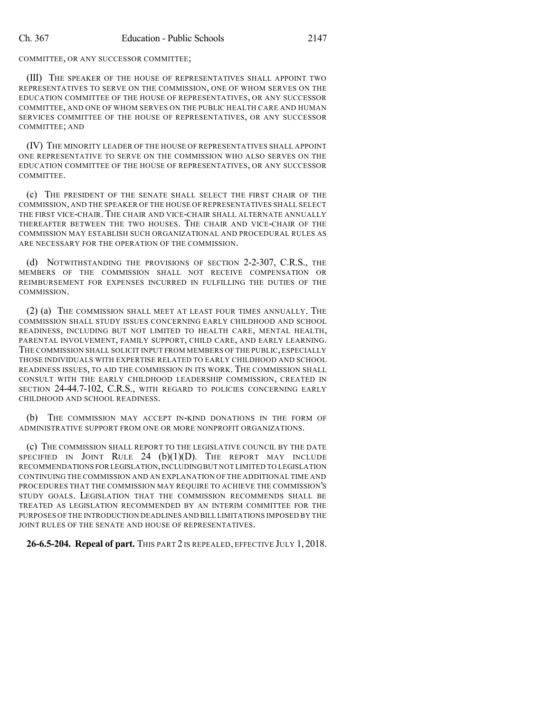COMMITTEE, OR ANY SUCCESSOR COMMITTEE;

(III) THE SPEAKER OF THE HOUSE OF REPRESENTATIVES SHALL APPOINT TWO REPRESENTATIVES TO SERVE ON THE COMMISSION, ONE OF WHOM SERVES ON THE EDUCATION COMMITTEE OF THE HOUSE OF REPRESENTATIVES, OR ANY SUCCESSOR COMMITTEE, AND ONE OF WHOM SERVES ON THE PUBLIC HEALTH CARE AND HUMAN SERVICES COMMITTEE OF THE HOUSE OF REPRESENTATIVES, OR ANY SUCCESSOR COMMITTEE; AND

(IV) THE MINORITY LEADER OF THE HOUSE OF REPRESENTATIVES SHALL APPOINT ONE REPRESENTATIVE TO SERVE ON THE COMMISSION WHO ALSO SERVES ON THE EDUCATION COMMITTEE OF THE HOUSE OF REPRESENTATIVES, OR ANY SUCCESSOR COMMITTEE.

(c) THE PRESIDENT OF THE SENATE SHALL SELECT THE FIRST CHAIR OF THE COMMISSION, AND THE SPEAKER OF THE HOUSE OF REPRESENTATIVES SHALL SELECT THE FIRST VICE-CHAIR. THE CHAIR AND VICE-CHAIR SHALL ALTERNATE ANNUALLY THEREAFTER BETWEEN THE TWO HOUSES. THE CHAIR AND VICE-CHAIR OF THE COMMISSION MAY ESTABLISH SUCH ORGANIZATIONAL AND PROCEDURAL RULES AS ARE NECESSARY FOR THE OPERATION OF THE COMMISSION.

(d) NOTWITHSTANDING THE PROVISIONS OF SECTION 2-2-307, C.R.S., THE MEMBERS OF THE COMMISSION SHALL NOT RECEIVE COMPENSATION OR REIMBURSEMENT FOR EXPENSES INCURRED IN FULFILLING THE DUTIES OF THE COMMISSION.

(2) (a) THE COMMISSION SHALL MEET AT LEAST FOUR TIMES ANNUALLY. THE COMMISSION SHALL STUDY ISSUES CONCERNING EARLY CHILDHOOD AND SCHOOL READINESS, INCLUDING BUT NOT LIMITED TO HEALTH CARE, MENTAL HEALTH, PARENTAL INVOLVEMENT, FAMILY SUPPORT, CHILD CARE, AND EARLY LEARNING. THE COMMISSION SHALL SOLICIT INPUT FROM MEMBERS OF THE PUBLIC, ESPECIALLY THOSE INDIVIDUALS WITH EXPERTISE RELATED TO EARLY CHILDHOOD AND SCHOOL READINESS ISSUES, TO AID THE COMMISSION IN ITS WORK. THE COMMISSION SHALL CONSULT WITH THE EARLY CHILDHOOD LEADERSHIP COMMISSION, CREATED IN SECTION 24-44.7-102, C.R.S., WITH REGARD TO POLICIES CONCERNING EARLY CHILDHOOD AND SCHOOL READINESS.

(b) THE COMMISSION MAY ACCEPT IN-KIND DONATIONS IN THE FORM OF ADMINISTRATIVE SUPPORT FROM ONE OR MORE NONPROFIT ORGANIZATIONS.

(c) THE COMMISSION SHALL REPORT TO THE LEGISLATIVE COUNCIL BY THE DATE SPECIFIED IN JOINT RULE  $24$  (b)(1)(D). The REPORT MAY INCLUDE RECOMMENDATIONS FOR LEGISLATION,INCLUDINGBUT NOT LIMITED TO LEGISLATION CONTINUING THE COMMISSION AND AN EXPLANATION OF THE ADDITIONAL TIME AND PROCEDURES THAT THE COMMISSION MAY REQUIRE TO ACHIEVE THE COMMISSION'S STUDY GOALS. LEGISLATION THAT THE COMMISSION RECOMMENDS SHALL BE TREATED AS LEGISLATION RECOMMENDED BY AN INTERIM COMMITTEE FOR THE PURPOSES OF THE INTRODUCTION DEADLINES AND BILL LIMITATIONS IMPOSED BY THE JOINT RULES OF THE SENATE AND HOUSE OF REPRESENTATIVES.

**26-6.5-204. Repeal of part.** THIS PART 2 IS REPEALED, EFFECTIVE JULY 1, 2018.